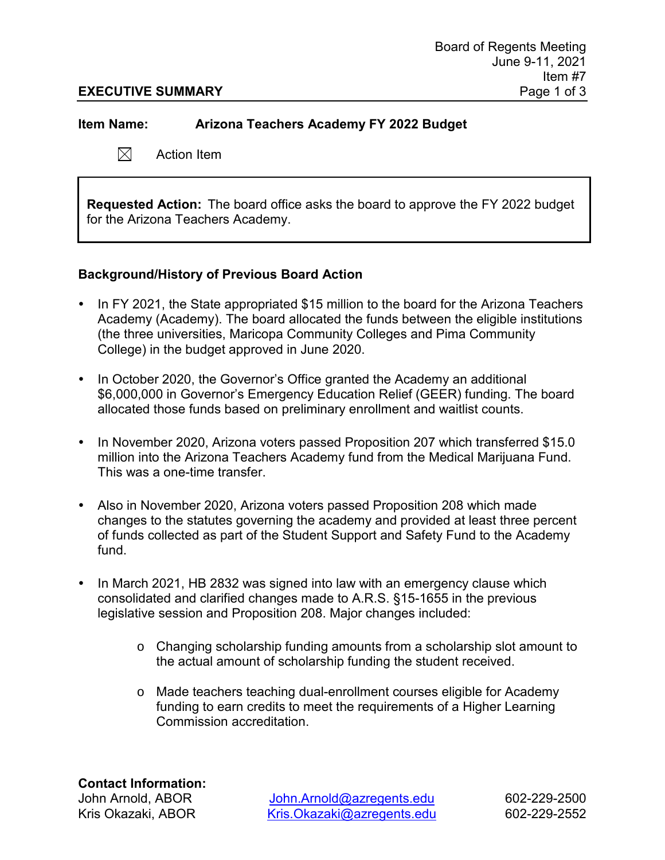#### **EXECUTIVE SUMMARY** Page 1 of 3

**Item Name: Arizona Teachers Academy FY 2022 Budget**

 $\boxtimes^-$ Action Item

**Requested Action:** The board office asks the board to approve the FY 2022 budget for the Arizona Teachers Academy.

## **Background/History of Previous Board Action**

- In FY 2021, the State appropriated \$15 million to the board for the Arizona Teachers Academy (Academy). The board allocated the funds between the eligible institutions (the three universities, Maricopa Community Colleges and Pima Community College) in the budget approved in June 2020.
- In October 2020, the Governor's Office granted the Academy an additional \$6,000,000 in Governor's Emergency Education Relief (GEER) funding. The board allocated those funds based on preliminary enrollment and waitlist counts.
- In November 2020, Arizona voters passed Proposition 207 which transferred \$15.0 million into the Arizona Teachers Academy fund from the Medical Marijuana Fund. This was a one-time transfer.
- Also in November 2020, Arizona voters passed Proposition 208 which made changes to the statutes governing the academy and provided at least three percent of funds collected as part of the Student Support and Safety Fund to the Academy fund.
- In March 2021, HB 2832 was signed into law with an emergency clause which consolidated and clarified changes made to A.R.S. §15-1655 in the previous legislative session and Proposition 208. Major changes included:
	- o Changing scholarship funding amounts from a scholarship slot amount to the actual amount of scholarship funding the student received.
	- o Made teachers teaching dual-enrollment courses eligible for Academy funding to earn credits to meet the requirements of a Higher Learning Commission accreditation.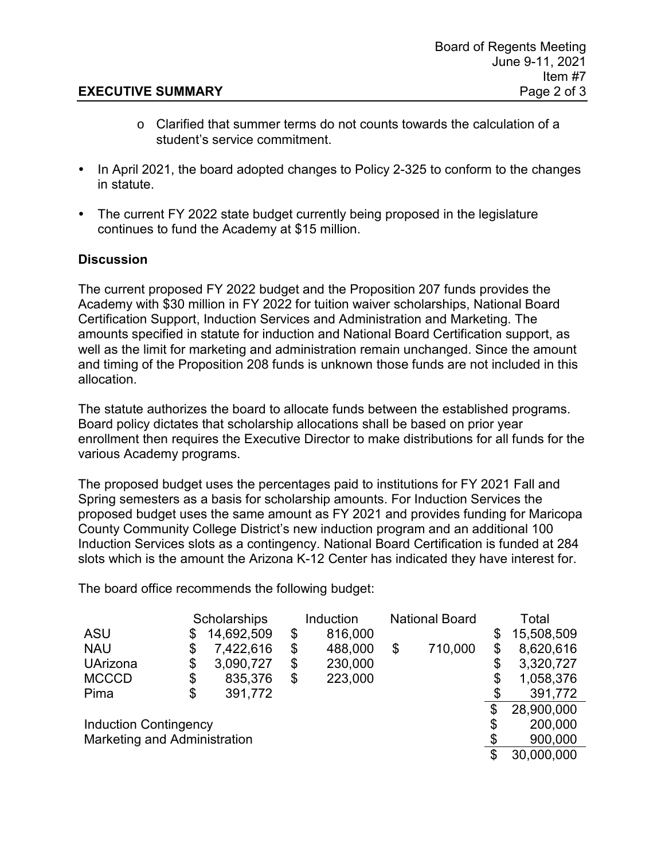## **EXECUTIVE SUMMARY** Page 2 of 3

- $\circ$  Clarified that summer terms do not counts towards the calculation of a student's service commitment.
- In April 2021, the board adopted changes to Policy 2-325 to conform to the changes in statute.
- The current FY 2022 state budget currently being proposed in the legislature continues to fund the Academy at \$15 million.

## **Discussion**

The current proposed FY 2022 budget and the Proposition 207 funds provides the Academy with \$30 million in FY 2022 for tuition waiver scholarships, National Board Certification Support, Induction Services and Administration and Marketing. The amounts specified in statute for induction and National Board Certification support, as well as the limit for marketing and administration remain unchanged. Since the amount and timing of the Proposition 208 funds is unknown those funds are not included in this allocation.

The statute authorizes the board to allocate funds between the established programs. Board policy dictates that scholarship allocations shall be based on prior year enrollment then requires the Executive Director to make distributions for all funds for the various Academy programs.

The proposed budget uses the percentages paid to institutions for FY 2021 Fall and Spring semesters as a basis for scholarship amounts. For Induction Services the proposed budget uses the same amount as FY 2021 and provides funding for Maricopa County Community College District's new induction program and an additional 100 Induction Services slots as a contingency. National Board Certification is funded at 284 slots which is the amount the Arizona K-12 Center has indicated they have interest for.

The board office recommends the following budget:

|                                     |    | Scholarships |    | Induction |    | <b>National Board</b> |    | Total      |  |
|-------------------------------------|----|--------------|----|-----------|----|-----------------------|----|------------|--|
| <b>ASU</b>                          | \$ | 14,692,509   | \$ | 816,000   |    |                       | \$ | 15,508,509 |  |
| <b>NAU</b>                          | \$ | 7,422,616    | \$ | 488,000   | \$ | 710,000               | \$ | 8,620,616  |  |
| <b>UArizona</b>                     | \$ | 3,090,727    | \$ | 230,000   |    |                       | \$ | 3,320,727  |  |
| <b>MCCCD</b>                        | \$ | 835,376      | \$ | 223,000   |    |                       | \$ | 1,058,376  |  |
| Pima                                | \$ | 391,772      |    |           |    |                       |    | 391,772    |  |
|                                     |    |              |    |           |    |                       | \$ | 28,900,000 |  |
| <b>Induction Contingency</b>        |    |              |    |           |    |                       | \$ | 200,000    |  |
| <b>Marketing and Administration</b> |    |              |    |           |    |                       |    | 900,000    |  |
|                                     |    |              |    |           |    |                       | \$ | 30,000,000 |  |